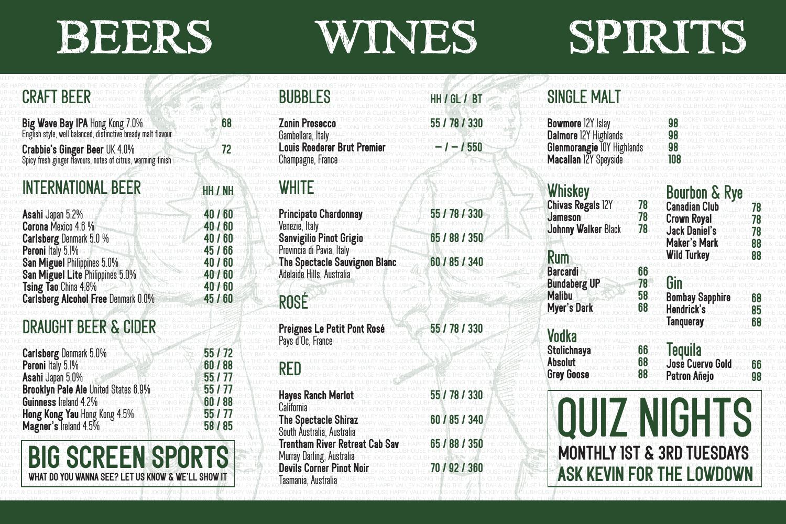# <u>the state of the state of the state of the state of the state of the state of the state of the state of the state of the state of the state of the state of the state of the state of the state of the state of the state of </u> 
<u>start and the second start of the second start of the second start of the second start of the second start of the second start of the second start of the second start of the second start of the second start of the second </u> 
<u>and and and and the second control of the second control of the second control of the second control of the second control of the second control of the second control of the second control of the second control of the sec</u> BEERS WINES SPIRITS

| CRAFTEBEER                                                                                           |                    | <b>BUBBLES</b>                                                               | HH / GL / BT  | <b>SINGLE MALT</b>                                                                                |                |                                            |      |
|------------------------------------------------------------------------------------------------------|--------------------|------------------------------------------------------------------------------|---------------|---------------------------------------------------------------------------------------------------|----------------|--------------------------------------------|------|
| Big Wave Bay IPA Hong Kong 7.0%                                                                      |                    | <b>Zonin Prosecco</b>                                                        | 55 / 78 / 330 | <b>Bowmore 12Y Islay</b>                                                                          |                |                                            |      |
| <b>Crabbie's Ginger Beer UK 4.0%</b><br>Spicy fresh ginger flavours, notes of citrus, warming finish |                    | Gambellara, Italy<br><b>Louis Roederer Brut Premier</b><br>Champagne, France | $-1 - 1550$   | <b>Dalmore 12Y Highlands</b><br><b>Glenmorangie IOY Highlands</b><br><b>Macallan 12Y Speyside</b> |                |                                            |      |
| INTERNATIONAL BEER                                                                                   | HH / NH            | WHITE                                                                        |               | Whiskey                                                                                           |                | <b>Bourbon &amp; Rye</b>                   |      |
| Asahi Japan 5.2%<br>Corona Mexico 4.6 %                                                              | 40 / 60<br>40 / 60 | <b>Principato Chardonnay</b><br>Venezie, Italy                               | 55 / 78 / 330 | <b>Chivas Regals 12Y</b><br><b>Jameson</b><br>Johnny Walker Black                                 | 78<br>78<br>78 | <b>Canadian Club</b><br><b>Crown Royal</b> |      |
| <b>Carlsberg Denmark 5.0 %</b><br>Peroni Italy 5.1%                                                  | 40 / 60<br>45/66   | <b>Sanvigilio Pinot Grigio</b><br>Provincia di Pavia, Italy                  | 65 / 88 / 350 |                                                                                                   |                | Jack Daniel's<br><b>Maker's Mark</b>       | 88   |
| San Miguel Philippines 5.0%                                                                          | 40 / 60            | The Spectacle Sauvignon Blanc                                                | 60 / 85 / 340 | <b>Rum</b>                                                                                        |                | <b>Wild Turkey</b>                         |      |
| San Miguel Lite Philippines 5.0%<br>Tsing Tao China 4.8%                                             | 40 / 60<br>40/60   | Adelaide Hills, Australia                                                    |               | <b>Barcardi</b><br><b>Bundaberg UP</b>                                                            | -66<br>78      | Gin                                        |      |
| <b>Carlsberg Alcohol Free Denmark 0.0%</b>                                                           | 45/60              | ROSÉ                                                                         |               | <b>Malibu</b><br><b>Myer's Dark</b>                                                               | 58<br>68       | <b>Bombay Sapphire</b><br>Hendrick's       | lill |
| <b>DRAUGHT BEER &amp; CIDER</b>                                                                      |                    | Preignes Le Petit Pont Rosé                                                  | 55 / 78 / 330 | <b>Vodka</b>                                                                                      |                | <b>Tanqueray</b>                           |      |
| <b>Carlsberg Denmark 5.0%</b>                                                                        | 55/72              | Pays d'Oc. France                                                            |               | <b>Stolichnaya</b>                                                                                | 66             | <b>Tequila</b>                             |      |
| Peroni Italy 5.1%                                                                                    | 60/88              | <b>RED</b>                                                                   |               | <b>Absolut</b><br><b>Grey Goose</b>                                                               | 68<br>88       | José Cuervo Gold<br>Patron Añejo           | 98   |
| Asahi Japan 5.0%<br>Brooklyn Pale Ale United States 6.9%                                             | 55 / 77<br>55/77   | <b>Hayes Ranch Merlot</b>                                                    | 55 / 78 / 330 |                                                                                                   |                |                                            |      |
| Guinness Ireland 4.2%<br>Hong Kong Yau Hong Kong 4.5%                                                | 60 / 88<br>55 / 77 | California                                                                   |               |                                                                                                   |                |                                            |      |
| Magner's Treland 4.5%                                                                                | 58 / 85            | <b>The Spectacle Shiraz</b><br>South Australia, Australia                    | 60 / 85 / 340 |                                                                                                   |                | QUIZ NIGHTS                                |      |
|                                                                                                      |                    | <b>Trentham River Retreat Cab Sav</b><br>Murray Darling, Australia           | 65 / 88 / 350 |                                                                                                   |                | <b>MONTHLY IST &amp; 3RD TUESDAYS</b>      |      |
| <b>BIG SCREEN SPORTS</b><br>WHAT DO YOU WANNA SEE? LET US KNOW & WE'LL SHOW IT                       |                    | <b>Devils Corner Pinot Noir</b><br>Tasmania, Australia <sup>.</sup>          | 70 / 92 / 360 | ASK KEVIN FOR THE LOWDOWN                                                                         |                |                                            |      |

E IOCKEY RAR & CLURHOUSE HAPPY VALLEY HONG KONG THE<mark>/OCKEY RAR & OLN</mark>RHOUSE HAPPY/VALLEY HONG KONG THE IOCKEY RAR & OLURHOUSE HAPPY VALLEY HONG KONG THE IOCKEY RAR & CLURHOUSE HAPPY VALLEY HONG KONG THE IOCKEY RAR & CLURHO